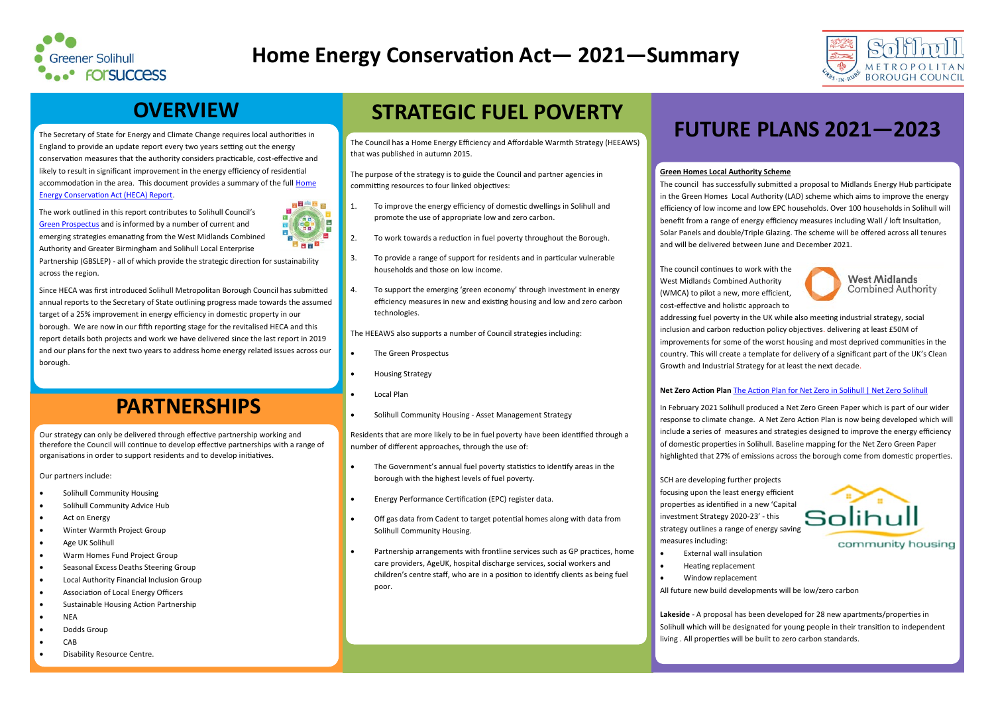### **OVERVIEW**

The Secretary of State for Energy and Climate Change requires local authorities in England to provide an update report every two years setting out the energy conservation measures that the authority considers practicable, cost-effective and likely to result in significant improvement in the energy efficiency of residential accommodation in the area. This document provides a summary of the full Home [Energy Conservation Act \(HECA\) Report.](http://www.solihull.gov.uk/About-the-Council/Strategies-policies/housing)

The work outlined in this report contributes to Solihull Council's [Green Prospectus](http://www.solihull.gov.uk/sustainability) and is informed by a number of current and emerging strategies emanating from the West Midlands Combined Authority and Greater Birmingham and Solihull Local Enterprise



Partnership (GBSLEP) - all of which provide the strategic direction for sustainability across the region.

- Solihull Community Housing
- Solihull Community Advice Hub
- Act on Energy
- Winter Warmth Project Group
- Age UK Solihull
- Warm Homes Fund Project Group
- Seasonal Excess Deaths Steering Group
- Local Authority Financial Inclusion Group
- Association of Local Energy Officers
- Sustainable Housing Action Partnership
- NEA
- Dodds Group
- CAB
- Disability Resource Centre.

Since HECA was first introduced Solihull Metropolitan Borough Council has submitted annual reports to the Secretary of State outlining progress made towards the assumed target of a 25% improvement in energy efficiency in domestic property in our borough. We are now in our fifth reporting stage for the revitalised HECA and this report details both projects and work we have delivered since the last report in 2019 and our plans for the next two years to address home energy related issues across our borough.

Our strategy can only be delivered through effective partnership working and therefore the Council will continue to develop effective partnerships with a range of organisations in order to support residents and to develop initiatives.

Our partners include:



## **Home Energy Conservation Act— 2021—Summary**

### **PARTNERSHIPS**

The Council has a Home Energy Efficiency and Affordable Warmth Strategy (HEEAWS) that was published in autumn 2015.

The purpose of the strategy is to guide the Council and partner agencies in committing resources to four linked objectives:

- 1. To improve the energy efficiency of domestic dwellings in Solihull and promote the use of appropriate low and zero carbon.
- 2. To work towards a reduction in fuel poverty throughout the Borough.
- 3. To provide a range of support for residents and in particular vulnerable households and those on low income.
- 4. To support the emerging 'green economy' through investment in energy efficiency measures in new and existing housing and low and zero carbon technologies.

The HEEAWS also supports a number of Council strategies including:

- The Green Prospectus
- Housing Strategy
- Local Plan
- Solihull Community Housing Asset Management Strategy

Residents that are more likely to be in fuel poverty have been identified through a number of different approaches, through the use of:

- The Government's annual fuel poverty statistics to identify areas in the borough with the highest levels of fuel poverty.
- Energy Performance Certification (EPC) register data.
- Off gas data from Cadent to target potential homes along with data from Solihull Community Housing.
- Partnership arrangements with frontline services such as GP practices, home care providers, AgeUK, hospital discharge services, social workers and children's centre staff, who are in a position to identify clients as being fuel poor.

## **STRATEGIC FUEL POVERTY**

## **FUTURE PLANS 2021—2023**





### **Green Homes Local Authority Scheme**

The council has successfully submitted a proposal to Midlands Energy Hub participate in the Green Homes Local Authority (LAD) scheme which aims to improve the energy efficiency of low income and low EPC households. Over 100 households in Solihull will benefit from a range of energy efficiency measures including Wall / loft Insultation, Solar Panels and double/Triple Glazing. The scheme will be offered across all tenures and will be delivered between June and December 2021.

The council continues to work with the **West Midlands** West Midlands Combined Authority **Combined Authority** (WMCA) to pilot a new, more efficient, cost-effective and holistic approach to addressing fuel poverty in the UK while also meeting industrial strategy, social inclusion and carbon reduction policy objectives. delivering at least £50M of improvements for some of the worst housing and most deprived communities in the country. This will create a template for delivery of a significant part of the UK's Clean Growth and Industrial Strategy for at least the next decade.

### **Net Zero Action Plan** [The Action Plan for Net Zero in Solihull | Net Zero Solihull](https://netzerosolihull.co.uk/action-plan/)

In February 2021 Solihull produced a Net Zero Green Paper which is part of our wider response to climate change. A Net Zero Action Plan is now being developed which will include a series of measures and strategies designed to improve the energy efficiency of domestic properties in Solihull. Baseline mapping for the Net Zero Green Paper highlighted that 27% of emissions across the borough come from domestic properties.

SCH are developing further projects focusing upon the least energy efficient properties as identified in a new 'Capital investment Strategy 2020-23' - this strategy outlines a range of energy saving measures including:

- External wall insulation
- Heating replacement
- Window replacement

All future new build developments will be low/zero carbon

**Lakeside** - A proposal has been developed for 28 new apartments/properties in Solihull which will be designated for young people in their transition to independent living . All properties will be built to zero carbon standards.